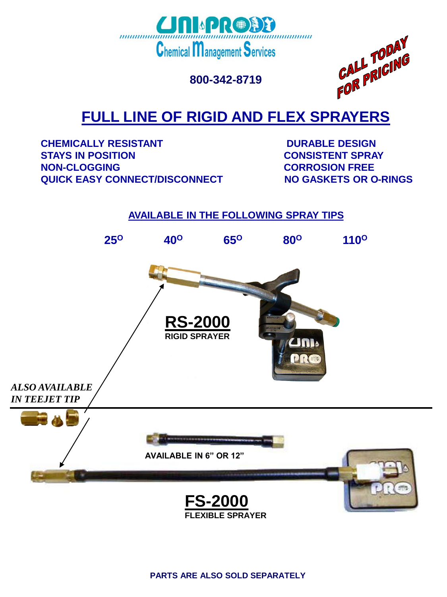

**800-342-8719**



# **FULL LINE OF RIGID AND FLEX SPRAYERS**

**CHEMICALLY RESISTANT FOR A RESIGN DURABLE DESIGN STAYS IN POSITION CONSISTENT SPRAY NON-CLOGGING CORROSION FREE QUICK EASY CONNECT/DISCONNECT NO GASKETS OR O-RINGS** 

### **AVAILABLE IN THE FOLLOWING SPRAY TIPS**



**PARTS ARE ALSO SOLD SEPARATELY**